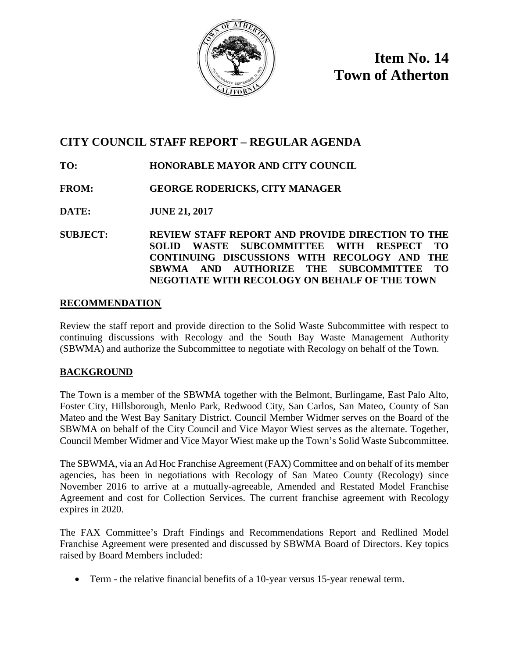

**Item No. 14 Town of Atherton**

# **CITY COUNCIL STAFF REPORT – REGULAR AGENDA**

# **TO: HONORABLE MAYOR AND CITY COUNCIL**

### **FROM: GEORGE RODERICKS, CITY MANAGER**

**DATE: JUNE 21, 2017**

**SUBJECT: REVIEW STAFF REPORT AND PROVIDE DIRECTION TO THE SOLID WASTE SUBCOMMITTEE WITH RESPECT TO CONTINUING DISCUSSIONS WITH RECOLOGY AND THE SBWMA AND AUTHORIZE THE SUBCOMMITTEE TO NEGOTIATE WITH RECOLOGY ON BEHALF OF THE TOWN**

### **RECOMMENDATION**

Review the staff report and provide direction to the Solid Waste Subcommittee with respect to continuing discussions with Recology and the South Bay Waste Management Authority (SBWMA) and authorize the Subcommittee to negotiate with Recology on behalf of the Town.

### **BACKGROUND**

The Town is a member of the SBWMA together with the Belmont, Burlingame, East Palo Alto, Foster City, Hillsborough, Menlo Park, Redwood City, San Carlos, San Mateo, County of San Mateo and the West Bay Sanitary District. Council Member Widmer serves on the Board of the SBWMA on behalf of the City Council and Vice Mayor Wiest serves as the alternate. Together, Council Member Widmer and Vice Mayor Wiest make up the Town's Solid Waste Subcommittee.

The SBWMA, via an Ad Hoc Franchise Agreement (FAX) Committee and on behalf of its member agencies, has been in negotiations with Recology of San Mateo County (Recology) since November 2016 to arrive at a mutually-agreeable, Amended and Restated Model Franchise Agreement and cost for Collection Services. The current franchise agreement with Recology expires in 2020.

The FAX Committee's Draft Findings and Recommendations Report and Redlined Model Franchise Agreement were presented and discussed by SBWMA Board of Directors. Key topics raised by Board Members included:

• Term - the relative financial benefits of a 10-year versus 15-year renewal term.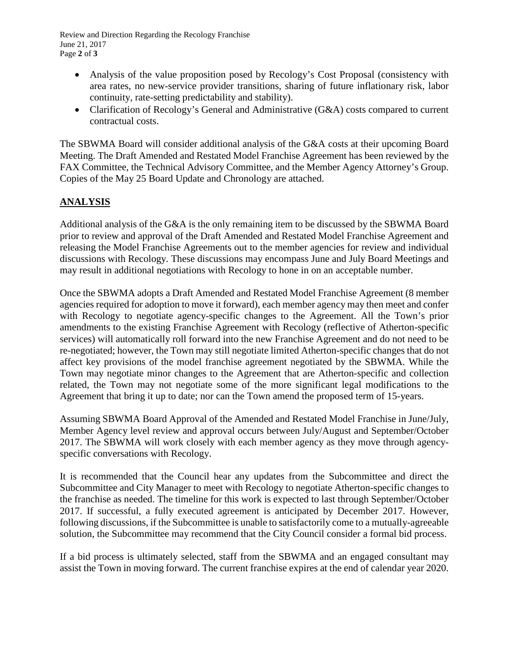Review and Direction Regarding the Recology Franchise June 21, 2017 Page **2** of **3**

- Analysis of the value proposition posed by Recology's Cost Proposal (consistency with area rates, no new-service provider transitions, sharing of future inflationary risk, labor continuity, rate-setting predictability and stability).
- Clarification of Recology's General and Administrative (G&A) costs compared to current contractual costs.

The SBWMA Board will consider additional analysis of the G&A costs at their upcoming Board Meeting. The Draft Amended and Restated Model Franchise Agreement has been reviewed by the FAX Committee, the Technical Advisory Committee, and the Member Agency Attorney's Group. Copies of the May 25 Board Update and Chronology are attached.

### **ANALYSIS**

Additional analysis of the G&A is the only remaining item to be discussed by the SBWMA Board prior to review and approval of the Draft Amended and Restated Model Franchise Agreement and releasing the Model Franchise Agreements out to the member agencies for review and individual discussions with Recology. These discussions may encompass June and July Board Meetings and may result in additional negotiations with Recology to hone in on an acceptable number.

Once the SBWMA adopts a Draft Amended and Restated Model Franchise Agreement (8 member agencies required for adoption to move it forward), each member agency may then meet and confer with Recology to negotiate agency-specific changes to the Agreement. All the Town's prior amendments to the existing Franchise Agreement with Recology (reflective of Atherton-specific services) will automatically roll forward into the new Franchise Agreement and do not need to be re-negotiated; however, the Town may still negotiate limited Atherton-specific changes that do not affect key provisions of the model franchise agreement negotiated by the SBWMA. While the Town may negotiate minor changes to the Agreement that are Atherton-specific and collection related, the Town may not negotiate some of the more significant legal modifications to the Agreement that bring it up to date; nor can the Town amend the proposed term of 15-years.

Assuming SBWMA Board Approval of the Amended and Restated Model Franchise in June/July, Member Agency level review and approval occurs between July/August and September/October 2017. The SBWMA will work closely with each member agency as they move through agencyspecific conversations with Recology.

It is recommended that the Council hear any updates from the Subcommittee and direct the Subcommittee and City Manager to meet with Recology to negotiate Atherton-specific changes to the franchise as needed. The timeline for this work is expected to last through September/October 2017. If successful, a fully executed agreement is anticipated by December 2017. However, following discussions, if the Subcommittee is unable to satisfactorily come to a mutually-agreeable solution, the Subcommittee may recommend that the City Council consider a formal bid process.

If a bid process is ultimately selected, staff from the SBWMA and an engaged consultant may assist the Town in moving forward. The current franchise expires at the end of calendar year 2020.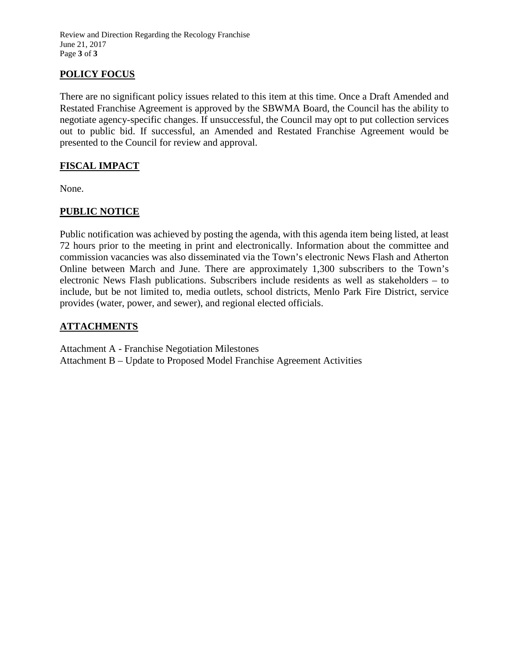Review and Direction Regarding the Recology Franchise June 21, 2017 Page **3** of **3**

# **POLICY FOCUS**

There are no significant policy issues related to this item at this time. Once a Draft Amended and Restated Franchise Agreement is approved by the SBWMA Board, the Council has the ability to negotiate agency-specific changes. If unsuccessful, the Council may opt to put collection services out to public bid. If successful, an Amended and Restated Franchise Agreement would be presented to the Council for review and approval.

## **FISCAL IMPACT**

None.

### **PUBLIC NOTICE**

Public notification was achieved by posting the agenda, with this agenda item being listed, at least 72 hours prior to the meeting in print and electronically. Information about the committee and commission vacancies was also disseminated via the Town's electronic News Flash and Atherton Online between March and June. There are approximately 1,300 subscribers to the Town's electronic News Flash publications. Subscribers include residents as well as stakeholders – to include, but be not limited to, media outlets, school districts, Menlo Park Fire District, service provides (water, power, and sewer), and regional elected officials.

### **ATTACHMENTS**

Attachment A - Franchise Negotiation Milestones Attachment B – Update to Proposed Model Franchise Agreement Activities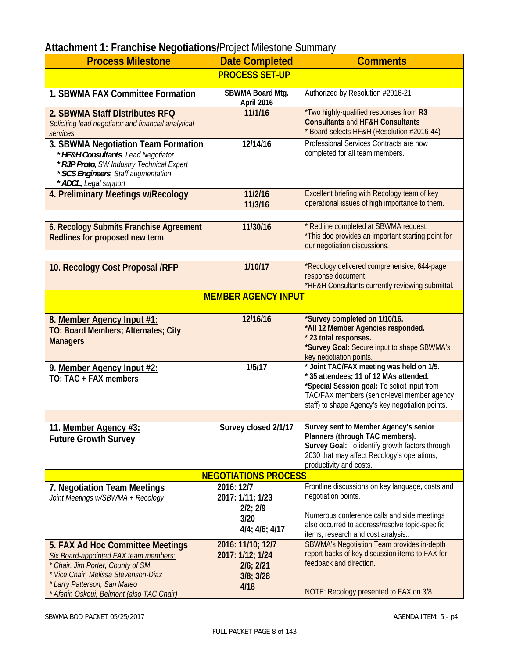| magnificant is indirected inegonation of refer inflectors calificate<br><b>Process Milestone</b> | <b>Date Completed</b>             | <b>Comments</b>                                                                                 |
|--------------------------------------------------------------------------------------------------|-----------------------------------|-------------------------------------------------------------------------------------------------|
|                                                                                                  | <b>PROCESS SET-UP</b>             |                                                                                                 |
|                                                                                                  |                                   |                                                                                                 |
| 1. SBWMA FAX Committee Formation                                                                 | SBWMA Board Mtg.<br>April 2016    | Authorized by Resolution #2016-21                                                               |
| 2. SBWMA Staff Distributes RFQ                                                                   | 11/1/16                           | *Two highly-qualified responses from R3                                                         |
| Soliciting lead negotiator and financial analytical<br>services                                  |                                   | <b>Consultants and HF&amp;H Consultants</b><br>* Board selects HF&H (Resolution #2016-44)       |
| 3. SBWMA Negotiation Team Formation                                                              | 12/14/16                          | Professional Services Contracts are now                                                         |
| * HF&H Consultants, Lead Negotiator                                                              |                                   | completed for all team members.                                                                 |
| * RJP Proto, SW Industry Technical Expert                                                        |                                   |                                                                                                 |
| * SCS Engineers, Staff augmentation<br>* ADCL, Legal support                                     |                                   |                                                                                                 |
| 4. Preliminary Meetings w/Recology                                                               | 11/2/16                           | Excellent briefing with Recology team of key                                                    |
|                                                                                                  | 11/3/16                           | operational issues of high importance to them.                                                  |
|                                                                                                  |                                   |                                                                                                 |
| 6. Recology Submits Franchise Agreement                                                          | 11/30/16                          | * Redline completed at SBWMA request.<br>*This doc provides an important starting point for     |
| Redlines for proposed new term                                                                   |                                   | our negotiation discussions.                                                                    |
|                                                                                                  |                                   |                                                                                                 |
| 10. Recology Cost Proposal /RFP                                                                  | 1/10/17                           | *Recology delivered comprehensive, 644-page                                                     |
|                                                                                                  |                                   | response document.<br>*HF&H Consultants currently reviewing submittal.                          |
|                                                                                                  | <b>MEMBER AGENCY INPUT</b>        |                                                                                                 |
|                                                                                                  |                                   |                                                                                                 |
| 8. Member Agency Input #1:                                                                       | 12/16/16                          | *Survey completed on 1/10/16.<br>*All 12 Member Agencies responded.                             |
| TO: Board Members; Alternates; City                                                              |                                   | * 23 total responses.                                                                           |
| <b>Managers</b>                                                                                  |                                   | *Survey Goal: Secure input to shape SBWMA's                                                     |
|                                                                                                  | 1/5/17                            | key negotiation points.<br>* Joint TAC/FAX meeting was held on 1/5.                             |
| 9. Member Agency Input #2:<br>TO: TAC + FAX members                                              |                                   | * 35 attendees; 11 of 12 MAs attended.                                                          |
|                                                                                                  |                                   | *Special Session goal: To solicit input from                                                    |
|                                                                                                  |                                   | TAC/FAX members (senior-level member agency<br>staff) to shape Agency's key negotiation points. |
|                                                                                                  |                                   |                                                                                                 |
| 11. Member Agency #3:                                                                            | Survey closed 2/1/17              | Survey sent to Member Agency's senior                                                           |
| <b>Future Growth Survey</b>                                                                      |                                   | Planners (through TAC members).                                                                 |
|                                                                                                  |                                   | Survey Goal: To identify growth factors through<br>2030 that may affect Recology's operations,  |
|                                                                                                  |                                   | productivity and costs.                                                                         |
|                                                                                                  | <b>NEGOTIATIONS PROCESS</b>       |                                                                                                 |
| 7. Negotiation Team Meetings                                                                     | 2016: 12/7                        | Frontline discussions on key language, costs and<br>negotiation points.                         |
| Joint Meetings w/SBWMA + Recology                                                                | 2017: 1/11; 1/23<br>$2/2$ ; $2/9$ |                                                                                                 |
|                                                                                                  | 3/20                              | Numerous conference calls and side meetings                                                     |
|                                                                                                  | $4/4$ ; $4/6$ ; $4/17$            | also occurred to address/resolve topic-specific<br>items, research and cost analysis            |
| 5. FAX Ad Hoc Committee Meetings                                                                 | 2016: 11/10; 12/7                 | <b>SBWMA's Negotiation Team provides in-depth</b>                                               |
| <b>Six Board-appointed FAX team members:</b>                                                     | 2017: 1/12; 1/24                  | report backs of key discussion items to FAX for                                                 |
| * Chair, Jim Porter, County of SM                                                                | $2/6$ ; $2/21$                    | feedback and direction.                                                                         |
| * Vice Chair, Melissa Stevenson-Diaz<br>* Larry Patterson, San Mateo                             | 3/8; 3/28                         |                                                                                                 |
| * Afshin Oskoui, Belmont (also TAC Chair)                                                        | 4/18                              | NOTE: Recology presented to FAX on 3/8.                                                         |

# **Attachment 1: Franchise Negotiations/**Project Milestone Summary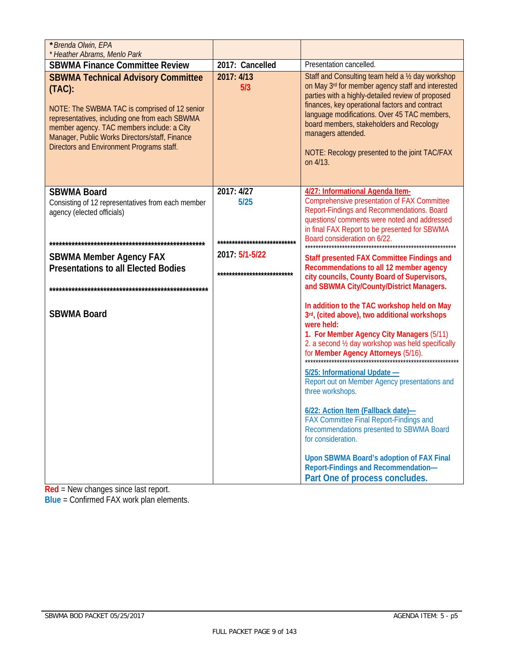| * Brenda Olwin, EPA                                                                                                                                                                                                                                                                                    |                                                  |                                                                                                                                                                                                                                                                                                                                                                                              |
|--------------------------------------------------------------------------------------------------------------------------------------------------------------------------------------------------------------------------------------------------------------------------------------------------------|--------------------------------------------------|----------------------------------------------------------------------------------------------------------------------------------------------------------------------------------------------------------------------------------------------------------------------------------------------------------------------------------------------------------------------------------------------|
| * Heather Abrams, Menlo Park<br><b>SBWMA Finance Committee Review</b>                                                                                                                                                                                                                                  | 2017: Cancelled                                  | Presentation cancelled.                                                                                                                                                                                                                                                                                                                                                                      |
| <b>SBWMA Technical Advisory Committee</b><br>$(TAC)$ :<br>NOTE: The SWBMA TAC is comprised of 12 senior<br>representatives, including one from each SBWMA<br>member agency. TAC members include: a City<br>Manager, Public Works Directors/staff, Finance<br>Directors and Environment Programs staff. | 2017: 4/13<br>5/3                                | Staff and Consulting team held a 1/2 day workshop<br>on May 3rd for member agency staff and interested<br>parties with a highly-detailed review of proposed<br>finances, key operational factors and contract<br>language modifications. Over 45 TAC members,<br>board members, stakeholders and Recology<br>managers attended.<br>NOTE: Recology presented to the joint TAC/FAX<br>on 4/13. |
| <b>SBWMA Board</b><br>Consisting of 12 representatives from each member<br>agency (elected officials)                                                                                                                                                                                                  | 2017: 4/27<br>5/25                               | 4/27: Informational Agenda Item-<br>Comprehensive presentation of FAX Committee<br>Report-Findings and Recommendations. Board<br>questions/ comments were noted and addressed<br>in final FAX Report to be presented for SBWMA                                                                                                                                                               |
|                                                                                                                                                                                                                                                                                                        | ****************************                     | Board consideration on 6/22.                                                                                                                                                                                                                                                                                                                                                                 |
| <b>SBWMA Member Agency FAX</b><br><b>Presentations to all Elected Bodies</b>                                                                                                                                                                                                                           | 2017: $5/1 - 5/22$<br>************************** | Staff presented FAX Committee Findings and<br>Recommendations to all 12 member agency<br>city councils, County Board of Supervisors,<br>and SBWMA City/County/District Managers.                                                                                                                                                                                                             |
| <b>SBWMA Board</b>                                                                                                                                                                                                                                                                                     |                                                  | In addition to the TAC workshop held on May<br>3rd, (cited above), two additional workshops<br>were held:<br>1. For Member Agency City Managers (5/11)<br>2. a second 1/2 day workshop was held specifically<br>for Member Agency Attorneys (5/16).                                                                                                                                          |
|                                                                                                                                                                                                                                                                                                        |                                                  | 5/25: Informational Update -<br>Report out on Member Agency presentations and<br>three workshops.                                                                                                                                                                                                                                                                                            |
|                                                                                                                                                                                                                                                                                                        |                                                  | 6/22: Action Item (Fallback date)-<br>FAX Committee Final Report-Findings and<br>Recommendations presented to SBWMA Board<br>for consideration.                                                                                                                                                                                                                                              |
|                                                                                                                                                                                                                                                                                                        |                                                  | Upon SBWMA Board's adoption of FAX Final<br>Report-Findings and Recommendation-<br>Part One of process concludes.                                                                                                                                                                                                                                                                            |

**Red** = New changes since last report.

**Blue** = Confirmed FAX work plan elements.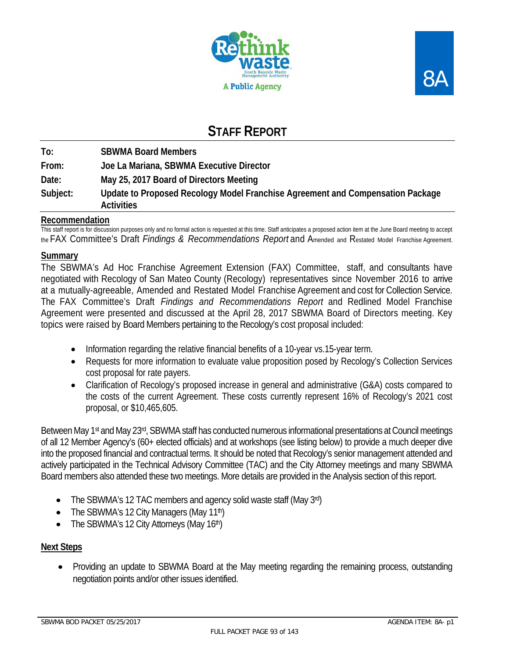



# **STAFF REPORT**

**To: SBWMA Board Members From: Joe La Mariana, SBWMA Executive Director Date: May 25, 2017 Board of Directors Meeting Subject: Update to Proposed Recology Model Franchise Agreement and Compensation Package Activities** 

### **Recommendation**

This staff report is for discussion purposes only and no formal action is requested at this time. Staff anticipates a proposed action item at the June Board meeting to accept the FAX Committee's Draft *Findings & Recommendations Report* and Amended and Restated Model Franchise Agreement.

### **Summary**

The SBWMA's Ad Hoc Franchise Agreement Extension (FAX) Committee, staff, and consultants have negotiated with Recology of San Mateo County (Recology) representatives since November 2016 to arrive at a mutually-agreeable, Amended and Restated Model Franchise Agreement and cost for Collection Service. The FAX Committee's Draft *Findings and Recommendations Report* and Redlined Model Franchise Agreement were presented and discussed at the April 28, 2017 SBWMA Board of Directors meeting. Key topics were raised by Board Members pertaining to the Recology's cost proposal included:

- Information regarding the relative financial benefits of a 10-year vs.15-year term.
- Requests for more information to evaluate value proposition posed by Recology's Collection Services cost proposal for rate payers.
- Clarification of Recology's proposed increase in general and administrative (G&A) costs compared to the costs of the current Agreement. These costs currently represent 16% of Recology's 2021 cost proposal, or \$10,465,605.

Between May 1<sup>st</sup> and May 23<sup>rd</sup>, SBWMA staff has conducted numerous informational presentations at Council meetings of all 12 Member Agency's (60+ elected officials) and at workshops (see listing below) to provide a much deeper dive into the proposed financial and contractual terms. It should be noted that Recology's senior management attended and actively participated in the Technical Advisory Committee (TAC) and the City Attorney meetings and many SBWMA Board members also attended these two meetings. More details are provided in the Analysis section of this report.

- The SBWMA's 12 TAC members and agency solid waste staff (May 3rd)
- The SBWMA's 12 City Managers (May 11<sup>th</sup>)
- The SBWMA's 12 City Attorneys (May  $16<sup>th</sup>$ )

### **Next Steps**

• Providing an update to SBWMA Board at the May meeting regarding the remaining process, outstanding negotiation points and/or other issues identified.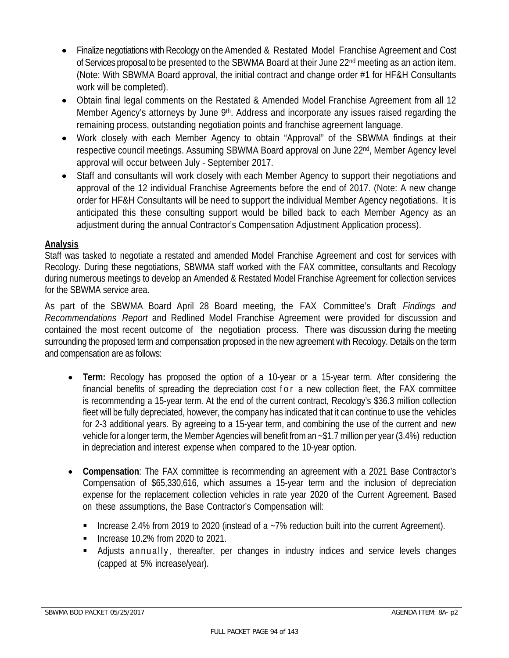- Finalize negotiations with Recology on the Amended & Restated Model Franchise Agreement and Cost of Services proposal to be presented to the SBWMA Board at their June 22<sup>nd</sup> meeting as an action item. (Note: With SBWMA Board approval, the initial contract and change order #1 for HF&H Consultants work will be completed).
- Obtain final legal comments on the Restated & Amended Model Franchise Agreement from all 12 Member Agency's attorneys by June 9<sup>th</sup>. Address and incorporate any issues raised regarding the remaining process, outstanding negotiation points and franchise agreement language.
- Work closely with each Member Agency to obtain "Approval" of the SBWMA findings at their respective council meetings. Assuming SBWMA Board approval on June 22<sup>nd</sup>, Member Agency level approval will occur between July - September 2017.
- Staff and consultants will work closely with each Member Agency to support their negotiations and approval of the 12 individual Franchise Agreements before the end of 2017. (Note: A new change order for HF&H Consultants will be need to support the individual Member Agency negotiations. It is anticipated this these consulting support would be billed back to each Member Agency as an adjustment during the annual Contractor's Compensation Adjustment Application process).

### **Analysis**

Staff was tasked to negotiate a restated and amended Model Franchise Agreement and cost for services with Recology. During these negotiations, SBWMA staff worked with the FAX committee, consultants and Recology during numerous meetings to develop an Amended & Restated Model Franchise Agreement for collection services for the SBWMA service area.

As part of the SBWMA Board April 28 Board meeting, the FAX Committee's Draft *Findings and Recommendations Report* and Redlined Model Franchise Agreement were provided for discussion and contained the most recent outcome of the negotiation process. There was discussion during the meeting surrounding the proposed term and compensation proposed in the new agreement with Recology. Details on the term and compensation are as follows:

- **Term:** Recology has proposed the option of a 10-year or a 15-year term. After considering the financial benefits of spreading the depreciation cost for a new collection fleet, the FAX committee is recommending a 15-year term. At the end of the current contract, Recology's \$36.3 million collection fleet will be fully depreciated, however, the company has indicated that it can continue to use the vehicles for 2-3 additional years. By agreeing to a 15-year term, and combining the use of the current and new vehicle for a longer term, the Member Agencies will benefit from an ~\$1.7 million per year (3.4%) reduction in depreciation and interest expense when compared to the 10-year option.
- **Compensation**: The FAX committee is recommending an agreement with a 2021 Base Contractor's Compensation of \$65,330,616, which assumes a 15-year term and the inclusion of depreciation expense for the replacement collection vehicles in rate year 2020 of the Current Agreement. Based on these assumptions, the Base Contractor's Compensation will:
	- Increase 2.4% from 2019 to 2020 (instead of a  $-7\%$  reduction built into the current Agreement).
	- Increase  $10.2\%$  from 2020 to 2021.
	- Adjusts annually, thereafter, per changes in industry indices and service levels changes (capped at 5% increase/year).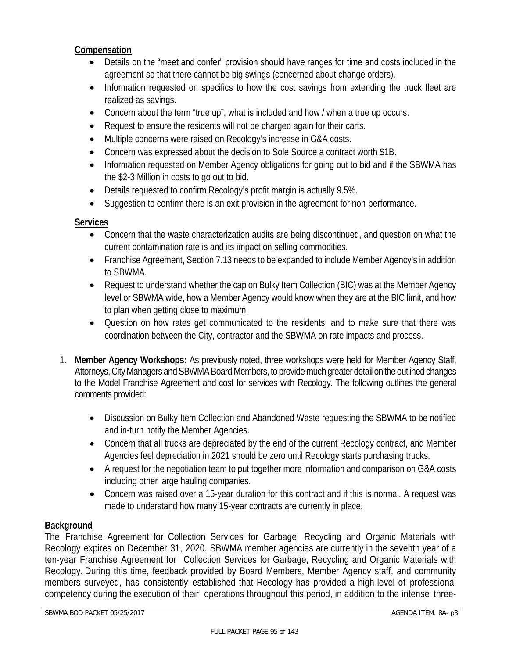### **Compensation**

- Details on the "meet and confer" provision should have ranges for time and costs included in the agreement so that there cannot be big swings (concerned about change orders).
- Information requested on specifics to how the cost savings from extending the truck fleet are realized as savings.
- Concern about the term "true up", what is included and how / when a true up occurs.
- Request to ensure the residents will not be charged again for their carts.
- Multiple concerns were raised on Recology's increase in G&A costs.
- Concern was expressed about the decision to Sole Source a contract worth \$1B.
- Information requested on Member Agency obligations for going out to bid and if the SBWMA has the \$2-3 Million in costs to go out to bid.
- Details requested to confirm Recology's profit margin is actually 9.5%.
- Suggestion to confirm there is an exit provision in the agreement for non-performance.

# **Services**

- Concern that the waste characterization audits are being discontinued, and question on what the current contamination rate is and its impact on selling commodities.
- Franchise Agreement, Section 7.13 needs to be expanded to include Member Agency's in addition to SBWMA.
- Request to understand whether the cap on Bulky Item Collection (BIC) was at the Member Agency level or SBWMA wide, how a Member Agency would know when they are at the BIC limit, and how to plan when getting close to maximum.
- Question on how rates get communicated to the residents, and to make sure that there was coordination between the City, contractor and the SBWMA on rate impacts and process.
- 1. **Member Agency Workshops:** As previously noted, three workshops were held for Member Agency Staff, Attorneys, City Managers and SBWMA Board Members, to provide much greater detail on the outlined changes to the Model Franchise Agreement and cost for services with Recology. The following outlines the general comments provided:
	- Discussion on Bulky Item Collection and Abandoned Waste requesting the SBWMA to be notified and in-turn notify the Member Agencies.
	- Concern that all trucks are depreciated by the end of the current Recology contract, and Member Agencies feel depreciation in 2021 should be zero until Recology starts purchasing trucks.
	- A request for the negotiation team to put together more information and comparison on G&A costs including other large hauling companies.
	- Concern was raised over a 15-year duration for this contract and if this is normal. A request was made to understand how many 15-year contracts are currently in place.

# **Background**

The Franchise Agreement for Collection Services for Garbage, Recycling and Organic Materials with Recology expires on December 31, 2020. SBWMA member agencies are currently in the seventh year of a ten-year Franchise Agreement for Collection Services for Garbage, Recycling and Organic Materials with Recology. During this time, feedback provided by Board Members, Member Agency staff, and community members surveyed, has consistently established that Recology has provided a high-level of professional competency during the execution of their operations throughout this period, in addition to the intense three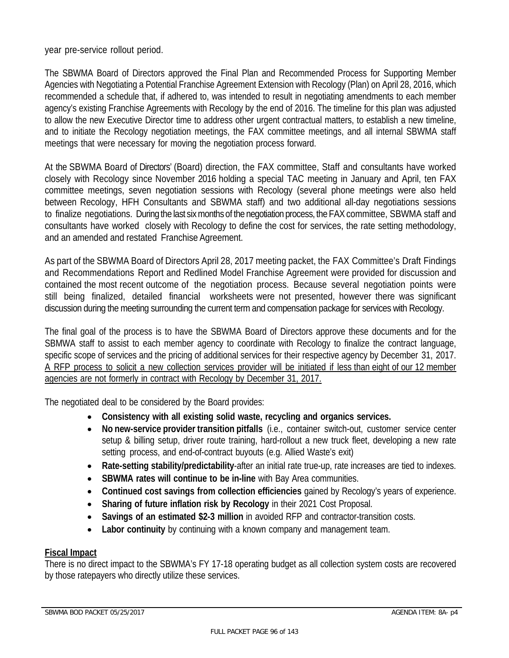year pre-service rollout period.

The SBWMA Board of Directors approved the Final Plan and Recommended Process for Supporting Member Agencies with Negotiating a Potential Franchise Agreement Extension with Recology (Plan) on April 28, 2016, which recommended a schedule that, if adhered to, was intended to result in negotiating amendments to each member agency's existing Franchise Agreements with Recology by the end of 2016. The timeline for this plan was adjusted to allow the new Executive Director time to address other urgent contractual matters, to establish a new timeline, and to initiate the Recology negotiation meetings, the FAX committee meetings, and all internal SBWMA staff meetings that were necessary for moving the negotiation process forward.

At the SBWMA Board of Directors' (Board) direction, the FAX committee, Staff and consultants have worked closely with Recology since November 2016 holding a special TAC meeting in January and April, ten FAX committee meetings, seven negotiation sessions with Recology (several phone meetings were also held between Recology, HFH Consultants and SBWMA staff) and two additional all-day negotiations sessions to finalize negotiations. During the last six months of the negotiation process, the FAX committee, SBWMA staff and consultants have worked closely with Recology to define the cost for services, the rate setting methodology, and an amended and restated Franchise Agreement.

As part of the SBWMA Board of Directors April 28, 2017 meeting packet, the FAX Committee's Draft Findings and Recommendations Report and Redlined Model Franchise Agreement were provided for discussion and contained the most recent outcome of the negotiation process. Because several negotiation points were still being finalized, detailed financial worksheets were not presented, however there was significant discussion during the meeting surrounding the current term and compensation package for services with Recology.

The final goal of the process is to have the SBWMA Board of Directors approve these documents and for the SBMWA staff to assist to each member agency to coordinate with Recology to finalize the contract language, specific scope of services and the pricing of additional services for their respective agency by December 31, 2017. A RFP process to solicit a new collection services provider will be initiated if less than eight of our 12 member agencies are not formerly in contract with Recology by December 31, 2017.

The negotiated deal to be considered by the Board provides:

- **Consistency with all existing solid waste, recycling and organics services.**
- **No new-service provider transition pitfalls** (i.e., container switch-out, customer service center setup & billing setup, driver route training, hard-rollout a new truck fleet, developing a new rate setting process, and end-of-contract buyouts (e.g. Allied Waste's exit)
- **Rate-setting stability/predictability**-after an initial rate true-up, rate increases are tied to indexes.
- **SBWMA rates will continue to be in-line** with Bay Area communities.
- **Continued cost savings from collection efficiencies** gained by Recology's years of experience.
- **Sharing of future inflation risk by Recology in their 2021 Cost Proposal.**
- **Savings of an estimated \$2-3 million** in avoided RFP and contractor-transition costs.
- Labor continuity by continuing with a known company and management team.

### **Fiscal Impact**

There is no direct impact to the SBWMA's FY 17-18 operating budget as all collection system costs are recovered by those ratepayers who directly utilize these services.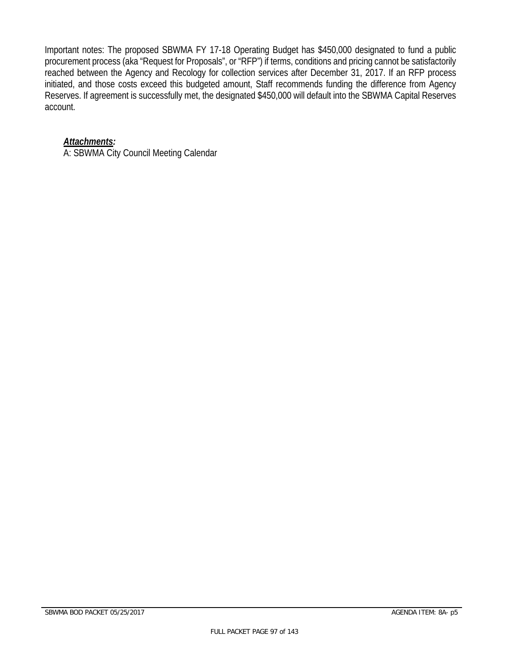Important notes: The proposed SBWMA FY 17-18 Operating Budget has \$450,000 designated to fund a public procurement process (aka "Request for Proposals", or "RFP") if terms, conditions and pricing cannot be satisfactorily reached between the Agency and Recology for collection services after December 31, 2017. If an RFP process initiated, and those costs exceed this budgeted amount, Staff recommends funding the difference from Agency Reserves. If agreement is successfully met, the designated \$450,000 will default into the SBWMA Capital Reserves account.

### *Attachments:*

A: SBWMA City Council Meeting Calendar